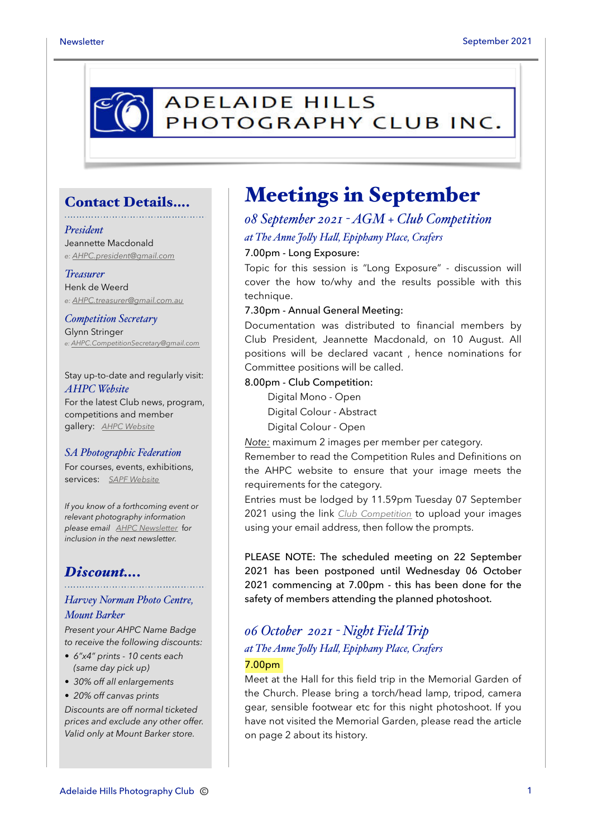

### Contact Details….

#### *President*

Jeannette Macdonald *e: [AHPC.president@gmail.com](mailto:AHPC.president@gmail.com)*

#### *Treasurer*

Henk de Weerd *e: [AHPC.treasurer@gmail.com.au](mailto:AHPC.treasurer@gmail.com.au)*

## *Competition Secretary*

Glynn Stringer *e: [AHPC.CompetitionSecretary@gmail.com](mailto:AHPC.CompetitionSecretary@gmail.com)*

Stay up-to-date and regularly visit: *AHPC Website* For the latest Club news, program, competitions and member gallery: *[AHPC Website](http://www.adelaidehillsphotographyclub.com.au)*

#### *SA Photographic Federation*

For courses, events, exhibitions, services: *[SAPF Website](https://www.sapf.org.au)*

*If you know of a forthcoming event or relevant photography information please email [AHPC Newsletter](mailto:paulaphotoclick@gmail.com)* f*or inclusion in the next newsletter.* 

### *Discount….*

### *Harvey Norman Photo Centre, Mount Barker*

*Present your AHPC Name Badge to receive the following discounts:* 

- *6"x4" prints 10 cents each (same day pick up)*
- *30% off all enlargements*
- *20% off canvas prints*

*Discounts are off normal ticketed prices and exclude any other offer. Valid only at Mount Barker store.*

## Meetings in September

## *08 September 2021 - AGM + Club Competition*

*at The Anne Joly Hal, Epiphany Place, Crafers*

#### 7.00pm - Long Exposure:

Topic for this session is "Long Exposure" - discussion will cover the how to/why and the results possible with this technique.

#### 7.30pm - Annual General Meeting:

Documentation was distributed to financial members by Club President, Jeannette Macdonald, on 10 August. All positions will be declared vacant , hence nominations for Committee positions will be called.

#### 8.00pm - Club Competition:

Digital Mono - Open

Digital Colour - Abstract

Digital Colour - Open

*Note:* maximum 2 images per member per category.

Remember to read the Competition Rules and Definitions on the AHPC website to ensure that your image meets the requirements for the category.

Entries must be lodged by 11.59pm Tuesday 07 September 2021 using the link *[Club Competition](http://www.photocompentries.net/?org=AHPC)* to upload your images using your email address, then follow the prompts.

PLEASE NOTE: The scheduled meeting on 22 September 2021 has been postponed until Wednesday 06 October 2021 commencing at 7.00pm - this has been done for the safety of members attending the planned photoshoot.

## *06 October 2021 - Night Field Trip at The Anne Joly Hal, Epiphany Place, Crafers* 7.00pm

Meet at the Hall for this field trip in the Memorial Garden of the Church. Please bring a torch/head lamp, tripod, camera gear, sensible footwear etc for this night photoshoot. If you have not visited the Memorial Garden, please read the article on page 2 about its history.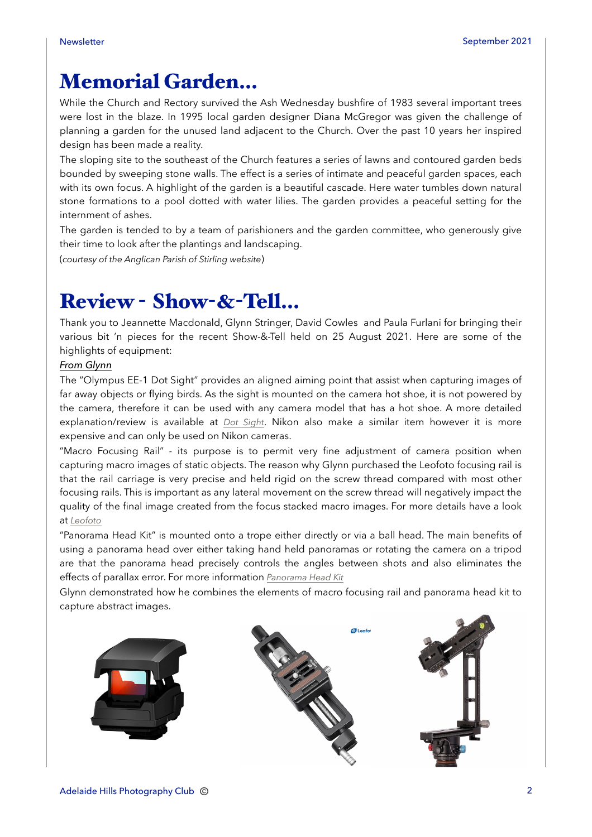# Memorial Garden…

While the Church and Rectory survived the Ash Wednesday bushfire of 1983 several important trees were lost in the blaze. In 1995 local garden designer Diana McGregor was given the challenge of planning a garden for the unused land adjacent to the Church. Over the past 10 years her inspired design has been made a reality.

The sloping site to the southeast of the Church features a series of lawns and contoured garden beds bounded by sweeping stone walls. The effect is a series of intimate and peaceful garden spaces, each with its own focus. A highlight of the garden is a beautiful cascade. Here water tumbles down natural stone formations to a pool dotted with water lilies. The garden provides a peaceful setting for the internment of ashes.

The garden is tended to by a team of parishioners and the garden committee, who generously give their time to look after the plantings and landscaping.

(*courtesy of the Anglican Parish of Stirling website*)

# Review - Show-&-Tell…

Thank you to Jeannette Macdonald, Glynn Stringer, David Cowles and Paula Furlani for bringing their various bit 'n pieces for the recent Show-&-Tell held on 25 August 2021. Here are some of the highlights of equipment:

#### *From Glynn*

The "Olympus EE-1 Dot Sight" provides an aligned aiming point that assist when capturing images of far away objects or flying birds. As the sight is mounted on the camera hot shoe, it is not powered by the camera, therefore it can be used with any camera model that has a hot shoe. A more detailed explanation/review is available at *[Dot Sight](https://www.camerastuffreview.com/en/review-olympus-ee-1-dot-sight/)*. Nikon also make a similar item however it is more expensive and can only be used on Nikon cameras.

"Macro Focusing Rail" - its purpose is to permit very fine adjustment of camera position when capturing macro images of static objects. The reason why Glynn purchased the Leofoto focusing rail is that the rail carriage is very precise and held rigid on the screw thread compared with most other focusing rails. This is important as any lateral movement on the screw thread will negatively impact the quality of the final image created from the focus stacked macro images. For more details have a look at *[Leofoto](https://www.leofoto.com/products_detail.php?id=355)*

"Panorama Head Kit" is mounted onto a trope either directly or via a ball head. The main benefits of using a panorama head over either taking hand held panoramas or rotating the camera on a tripod are that the panorama head precisely controls the angles between shots and also eliminates the effects of parallax error. For more information *[Panorama Head Kit](https://www.leofoto.com/products_detail.php?id=203)*

Glynn demonstrated how he combines the elements of macro focusing rail and panorama head kit to capture abstract images.